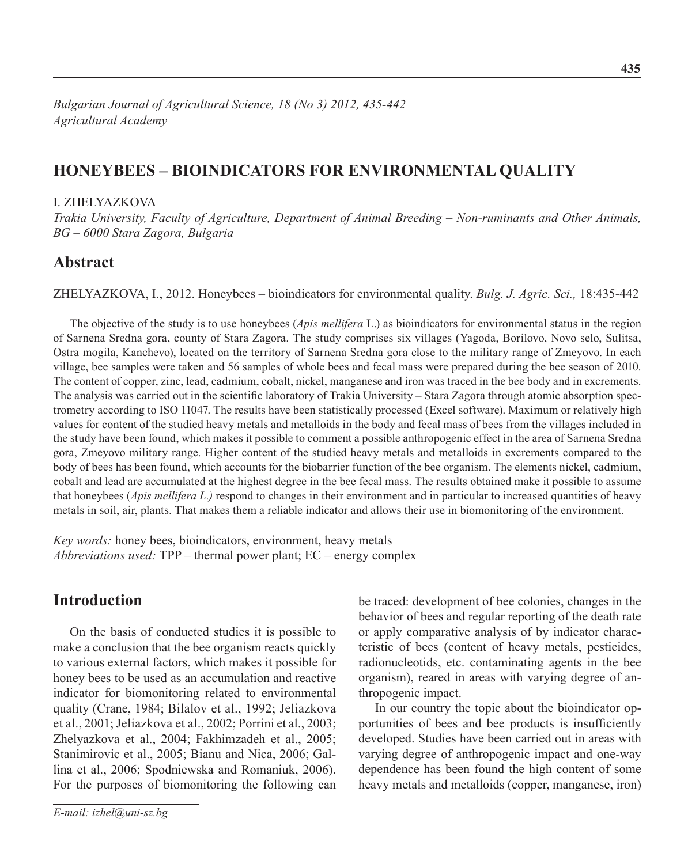# **Honeybees – bioindicators for environmental quality**

### I. Zhelyazkova

*Trakia University, Faculty of Agriculture, Department of Animal Breeding – Non-ruminants and Other Animals, BG – 6000 Stara Zagora, Bulgaria*

## **Abstract**

Zhelyazkova, I., 2012. Honeybees – bioindicators for environmental quality. *Bulg. J. Agric. Sci.,* 18:435-442

The objective of the study is to use honeybees (*Apis mellifera* L.) as bioindicators for environmental status in the region of Sarnena Sredna gora, county of Stara Zagora. The study comprises six villages (Yagoda, Borilovo, Novo selo, Sulitsa, Ostra mogila, Kanchevo), located on the territory of Sarnena Sredna gora close to the military range of Zmeyovo. In each village, bee samples were taken and 56 samples of whole bees and fecal mass were prepared during the bee season of 2010. The content of copper, zinc, lead, cadmium, cobalt, nickel, manganese and iron was traced in the bee body and in excrements. The analysis was carried out in the scientific laboratory of Trakia University – Stara Zagora through atomic absorption spectrometry according to ISO 11047. The results have been statistically processed (Excel software). Maximum or relatively high values for content of the studied heavy metals and metalloids in the body and fecal mass of bees from the villages included in the study have been found, which makes it possible to comment a possible anthropogenic effect in the area of Sarnena Sredna gora, Zmeyovo military range. Higher content of the studied heavy metals and metalloids in excrements compared to the body of bees has been found, which accounts for the biobarrier function of the bee organism. The elements nickel, cadmium, cobalt and lead are accumulated at the highest degree in the bee fecal mass. The results obtained make it possible to assume that honeybees (*Apis mellifera L.)* respond to changes in their environment and in particular to increased quantities of heavy metals in soil, air, plants. That makes them a reliable indicator and allows their use in biomonitoring of the environment.

*Key words:* honey bees, bioindicators, environment, heavy metals *Abbreviations used:* TPP – thermal power plant; EC – energy complex

# **Introduction**

On the basis of conducted studies it is possible to make a conclusion that the bee organism reacts quickly to various external factors, which makes it possible for honey bees to be used as an accumulation and reactive indicator for biomonitoring related to environmental quality (Crane, 1984; Bilalov et al., 1992; Jeliazkova et al., 2001; Jeliazkova et al., 2002; Porrini et al., 2003; Zhelyazkova et al., 2004; Fakhimzadeh et al., 2005; Stanimirovic et al., 2005; Bianu and Nica, 2006; Gallina et al., 2006; Spodniewska and Romaniuk, 2006). For the purposes of biomonitoring the following can be traced: development of bee colonies, changes in the behavior of bees and regular reporting of the death rate or apply comparative analysis of by indicator characteristic of bees (content of heavy metals, pesticides, radionucleotids, etc. contaminating agents in the bee organism), reared in areas with varying degree of anthropogenic impact.

In our country the topic about the bioindicator opportunities of bees and bee products is insufficiently developed. Studies have been carried out in areas with varying degree of anthropogenic impact and one-way dependence has been found the high content of some heavy metals and metalloids (copper, manganese, iron)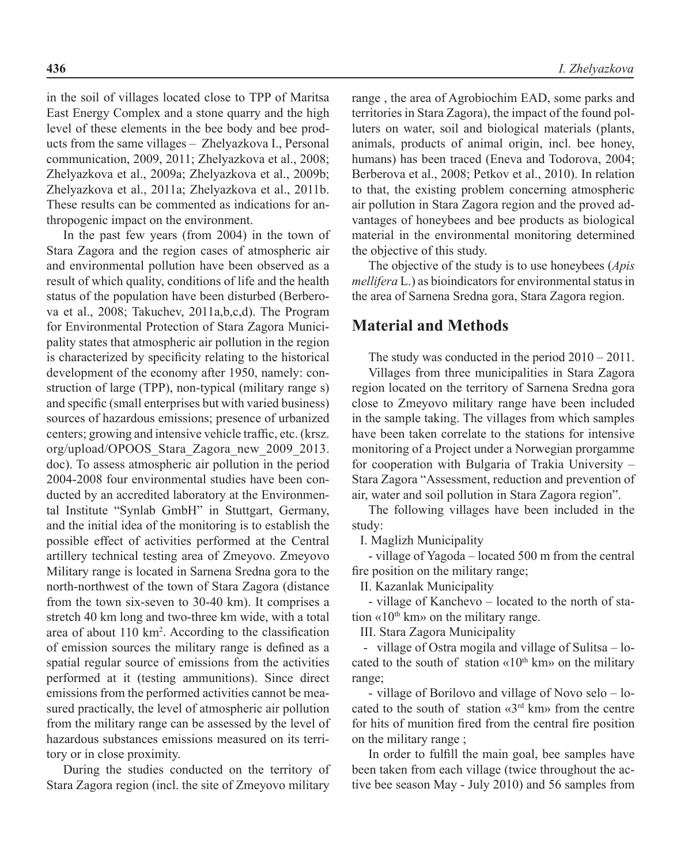in the soil of villages located close to TPP of Maritsa East Energy Complex and a stone quarry and the high level of these elements in the bee body and bee products from the same villages – Zhelyazkova I., Personal communication, 2009, 2011; Zhelyazkova et al., 2008; Zhelyazkova et al., 2009a; Zhelyazkova et al., 2009b; Zhelyazkova et al., 2011a; Zhelyazkova et al., 2011b. These results can be commented as indications for anthropogenic impact on the environment.

In the past few years (from 2004) in the town of Stara Zagora and the region cases of atmospheric air and environmental pollution have been observed as a result of which quality, conditions of life and the health status of the population have been disturbed (Berberova et al., 2008; Takuchev, 2011a,b,c,d). The Program for Environmental Protection of Stara Zagora Municipality states that atmospheric air pollution in the region is characterized by specificity relating to the historical development of the economy after 1950, namely: construction of large (TPP), non-typical (military range s) and specific (small enterprises but with varied business) sources of hazardous emissions; presence of urbanized centers; growing and intensive vehicle traffic, etc. (krsz. org/upload/OPOOS\_Stara\_Zagora\_new\_2009\_2013. doc). To assess atmospheric air pollution in the period 2004-2008 four environmental studies have been conducted by an accredited laboratory at the Environmental Institute "Synlab GmbH" in Stuttgart, Germany, and the initial idea of the monitoring is to establish the possible effect of activities performed at the Central artillery technical testing area of Zmeyovo. Zmeyovo Military range is located in Sarnena Sredna gora to the north-northwest of the town of Stara Zagora (distance from the town six-seven to 30-40 km). It comprises a stretch 40 km long and two-three km wide, with a total area of about 110 km2 . According to the classification of emission sources the military range is defined as a spatial regular source of emissions from the activities performed at it (testing ammunitions). Since direct emissions from the performed activities cannot be measured practically, the level of atmospheric air pollution from the military range can be assessed by the level of hazardous substances emissions measured on its territory or in close proximity.

During the studies conducted on the territory of Stara Zagora region (incl. the site of Zmeyovo military

range , the area of Agrobiochim EAD, some parks and territories in Stara Zagora), the impact of the found polluters on water, soil and biological materials (plants, animals, products of animal origin, incl. bee honey, humans) has been traced (Eneva and Todorova, 2004; Berberova et al., 2008; Petkov et al., 2010). In relation to that, the existing problem concerning atmospheric air pollution in Stara Zagora region and the proved advantages of honeybees and bee products as biological material in the environmental monitoring determined the objective of this study.

The objective of the study is to use honeybees (*Apis mellifera* L.) as bioindicators for environmental status in the area of Sarnena Sredna gora, Stara Zagora region.

## **Material and Methods**

The study was conducted in the period 2010 – 2011.

Villages from three municipalities in Stara Zagora region located on the territory of Sarnena Sredna gora close to Zmeyovo military range have been included in the sample taking. The villages from which samples have been taken correlate to the stations for intensive monitoring of a Project under a Norwegian prorgamme for cooperation with Bulgaria of Trakia University – Stara Zagora "Assessment, reduction and prevention of air, water and soil pollution in Stara Zagora region".

The following villages have been included in the study:

І. Maglizh Municipality

- village of Yagoda – located 500 m from the central fire position on the military range;

ІІ. Kazanlak Municipality

- village of Kanchevo – located to the north of station «10<sup>th</sup> km» on the military range.

ІІІ. Stara Zagora Municipality

- village of Ostra mogila and village of Sulitsa – located to the south of station  $\langle \times 10^{th} \text{ km} \rangle$  on the military range;

- village of Borilovo and village of Novo selo – located to the south of station  $\langle 3^{rd}$  km $\rangle$  from the centre for hits of munition fired from the central fire position on the military range ;

In order to fulfill the main goal, bee samples have been taken from each village (twice throughout the active bee season May - July 2010) and 56 samples from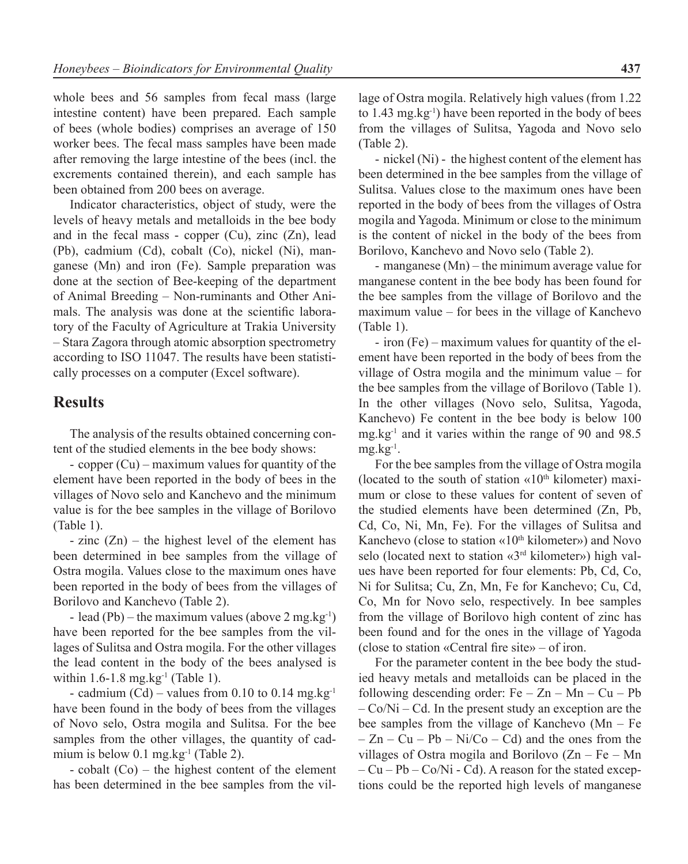whole bees and 56 samples from fecal mass (large intestine content) have been prepared. Each sample of bees (whole bodies) comprises an average of 150 worker bees. The fecal mass samples have been made after removing the large intestine of the bees (incl. the excrements contained therein), and each sample has been obtained from 200 bees on average.

Indicator characteristics, object of study, were the levels of heavy metals and metalloids in the bee body and in the fecal mass - copper  $(Cu)$ , zinc  $(Zn)$ , lead (Pb), cadmium (Cd), cobalt (Co), nickel (Ni), manganese (Mn) and iron (Fe). Sample preparation was done at the section of Bee-keeping of the department of Animal Breeding – Non-ruminants and Other Animals. The analysis was done at the scientific laboratory of the Faculty of Agriculture at Trakia University – Stara Zagora through atomic absorption spectrometry according to ISO 11047. The results have been statistically processes on a computer (Excel software).

## **Results**

The analysis of the results obtained concerning content of the studied elements in the bee body shows:

- copper (Cu) – maximum values for quantity of the element have been reported in the body of bees in the villages of Novo selo and Kanchevo and the minimum value is for the bee samples in the village of Borilovo (Table 1).

 $-$  zinc  $(Zn)$  – the highest level of the element has been determined in bee samples from the village of Ostra mogila. Values close to the maximum ones have been reported in the body of bees from the villages of Borilovo and Kanchevo (Table 2).

- lead (Pb) – the maximum values (above 2 mg.kg<sup>-1</sup>) have been reported for the bee samples from the villages of Sulitsa and Ostra mogila. For the other villages the lead content in the body of the bees analysed is within  $1.6 - 1.8$  mg.kg<sup>-1</sup> (Table 1).

- cadmium  $(Cd)$  – values from 0.10 to 0.14 mg.kg<sup>-1</sup> have been found in the body of bees from the villages of Novo selo, Ostra mogila and Sulitsa. For the bee samples from the other villages, the quantity of cadmium is below  $0.1$  mg.kg<sup>-1</sup> (Table 2).

- cobalt (Co) – the highest content of the element has been determined in the bee samples from the vil-

lage of Ostra mogila. Relatively high values (from 1.22 to  $1.43 \text{ mg} \cdot \text{kg}^{-1}$ ) have been reported in the body of bees from the villages of Sulitsa, Yagoda and Novo selo (Table 2).

- nickel (Ni) - the highest content of the element has been determined in the bee samples from the village of Sulitsa. Values close to the maximum ones have been reported in the body of bees from the villages of Ostra mogila and Yagoda. Minimum or close to the minimum is the content of nickel in the body of the bees from Borilovo, Kanchevo and Novo selo (Table 2).

- manganese (Mn) – the minimum average value for manganese content in the bee body has been found for the bee samples from the village of Borilovo and the maximum value – for bees in the village of Kanchevo (Table 1).

- iron (Fe) – maximum values for quantity of the element have been reported in the body of bees from the village of Ostra mogila and the minimum value – for the bee samples from the village of Borilovo (Table 1). In the other villages (Novo selo, Sulitsa, Yagoda, Kanchevo) Fe content in the bee body is below 100 mg.kg-1 and it varies within the range of 90 and 98.5  $mg.kg^{-1}$ .

For the bee samples from the village of Ostra mogila (located to the south of station  $\langle 10^{th} \text{ kilometer} \rangle$  maximum or close to these values for content of seven of the studied elements have been determined (Zn, Pb, Cd, Co, Ni, Mn, Fe). For the villages of Sulitsa and Kanchevo (close to station  $\langle \times 10^{th} \text{ kilometer} \rangle$ ) and Novo selo (located next to station «3rd kilometer») high values have been reported for four elements: Pb, Cd, Co, Ni for Sulitsa; Cu, Zn, Mn, Fe for Kanchevo; Cu, Cd, Co, Mn for Novo selo, respectively. In bee samples from the village of Borilovo high content of zinc has been found and for the ones in the village of Yagoda (close to station «Central fire site» – of iron.

For the parameter content in the bee body the studied heavy metals and metalloids can be placed in the following descending order:  $Fe - Zn - Mn - Cu - Pb$  $-C<sub>0</sub>/Ni - Cd$ . In the present study an exception are the bee samples from the village of Kanchevo (Mn – Fe  $-Zn - Cu - Pb - Ni/Co - Cd$  and the ones from the villages of Ostra mogila and Borilovo  $(Zn - Fe - Mn)$  $-Cu-Pb-Co/Ni$  - Cd). A reason for the stated exceptions could be the reported high levels of manganese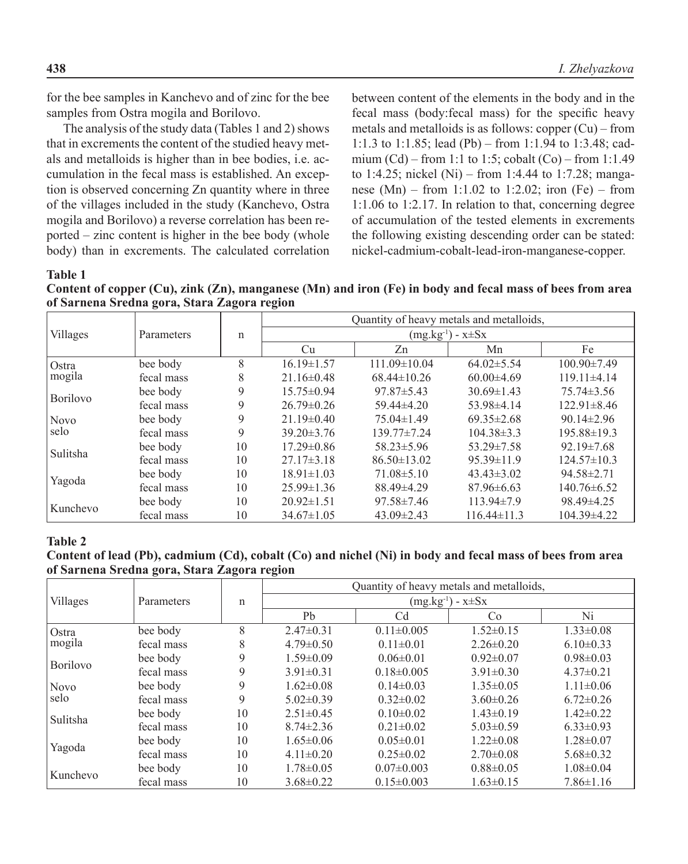for the bee samples in Kanchevo and of zinc for the bee samples from Ostra mogila and Borilovo.

The analysis of the study data (Tables 1 and 2) shows that in excrements the content of the studied heavy metals and metalloids is higher than in bee bodies, i.e. accumulation in the fecal mass is established. An exception is observed concerning Zn quantity where in three of the villages included in the study (Kanchevo, Ostra mogila and Borilovo) a reverse correlation has been reported – zinc content is higher in the bee body (whole body) than in excrements. The calculated correlation

between content of the elements in the body and in the fecal mass (body:fecal mass) for the specific heavy metals and metalloids is as follows: copper (Cu) – from 1:1.3 to 1:1.85; lead (Pb) – from 1:1.94 to 1:3.48; cadmium (Cd) – from 1:1 to 1:5; cobalt (Co) – from 1:1.49 to 1:4.25; nickel (Ni) – from 1:4.44 to 1:7.28; manganese  $(Mn)$  – from 1:1.02 to 1:2.02; iron (Fe) – from 1:1.06 to 1:2.17. In relation to that, concerning degree of accumulation of the tested elements in excrements the following existing descending order can be stated: nickel-cadmium-cobalt-lead-iron-manganese-copper.

**Table 1** 

**Content of copper (Cu), zink (Zn), manganese (Mn) and iron (Fe) in body and fecal mass of bees from area of Sarnena Sredna gora, Stara Zagora region**

|                     | Parameters | n           | Quantity of heavy metals and metalloids, |                    |                   |                   |  |
|---------------------|------------|-------------|------------------------------------------|--------------------|-------------------|-------------------|--|
| <b>Villages</b>     |            |             | $(mg.kg^{-1}) - x \pm Sx$                |                    |                   |                   |  |
|                     |            |             | Cu                                       | Zn                 | Mn                | Fe                |  |
| Ostra               | bee body   | 8           | $16.19 \pm 1.57$                         | $111.09 \pm 10.04$ | $64.02 \pm 5.54$  | $100.90 \pm 7.49$ |  |
| mogila              | fecal mass | 8           | $21.16 \pm 0.48$                         | $68.44 \pm 10.26$  | $60.00\pm4.69$    | $119.11\pm4.14$   |  |
| <b>Borilovo</b>     | bee body   | 9           | $15.75 \pm 0.94$                         | $97.87 \pm 5.43$   | $30.69 \pm 1.43$  | $75.74 \pm 3.56$  |  |
|                     | fecal mass | $\mathbf Q$ | $26.79 \pm 0.26$                         | $59.44\pm4.20$     | 53.98±4.14        | $122.91 \pm 8.46$ |  |
| <b>Novo</b><br>selo | bee body   | 9           | $21.19\pm0.40$                           | $75.04\pm1.49$     | $69.35 \pm 2.68$  | $90.14 \pm 2.96$  |  |
|                     | fecal mass | 9           | $39.20 \pm 3.76$                         | $139.77 \pm 7.24$  | $104.38\pm3.3$    | $195.88 \pm 19.3$ |  |
| Sulitsha            | bee body   | 10          | $17.29 \pm 0.86$                         | $58.23 \pm 5.96$   | $53.29 \pm 7.58$  | $92.19 \pm 7.68$  |  |
|                     | fecal mass | 10          | $27.17 \pm 3.18$                         | $86.50 \pm 13.02$  | $95.39 \pm 11.9$  | $124.57\pm10.3$   |  |
| Yagoda              | bee body   | 10          | $18.91 \pm 1.03$                         | $71.08 \pm 5.10$   | $43.43 \pm 3.02$  | $94.58 \pm 2.71$  |  |
|                     | fecal mass | 10          | $25.99 \pm 1.36$                         | 88.49±4.29         | $87.96\pm 6.63$   | $140.76 \pm 6.52$ |  |
| Kunchevo            | bee body   | 10          | $20.92 \pm 1.51$                         | $97.58 \pm 7.46$   | $113.94\pm7.9$    | 98.49±4.25        |  |
|                     | fecal mass | 10          | $34.67 \pm 1.05$                         | $43.09 \pm 2.43$   | $116.44 \pm 11.3$ | $104.39 \pm 4.22$ |  |

### **Table 2**

### **Content of lead (Pb), cadmium (Cd), cobalt (Co) and nichel (Ni) in body and fecal mass of bees from area of Sarnena Sredna gora, Stara Zagora region**

|                     | Parameters |    | Quantity of heavy metals and metalloids, |                  |                 |                 |  |
|---------------------|------------|----|------------------------------------------|------------------|-----------------|-----------------|--|
| Villages            |            | n  | $(mg.kg^{-1}) - x \pm Sx$                |                  |                 |                 |  |
|                     |            |    | Pb                                       | Cd               | Co              | Ni              |  |
| Ostra<br>mogila     | bee body   | 8  | $2.47 \pm 0.31$                          | $0.11 \pm 0.005$ | $1.52 \pm 0.15$ | $1.33 \pm 0.08$ |  |
|                     | fecal mass | 8  | $4.79 \pm 0.50$                          | $0.11 \pm 0.01$  | $2.26\pm0.20$   | $6.10\pm0.33$   |  |
| Borilovo            | bee body   | 9  | $1.59 \pm 0.09$                          | $0.06 \pm 0.01$  | $0.92\pm0.07$   | $0.98 \pm 0.03$ |  |
|                     | fecal mass | 9  | $3.91 \pm 0.31$                          | $0.18 \pm 0.005$ | $3.91 \pm 0.30$ | $4.37\pm0.21$   |  |
| <b>Novo</b><br>selo | bee body   | 9  | $1.62 \pm 0.08$                          | $0.14\pm0.03$    | $1.35 \pm 0.05$ | $1.11\pm0.06$   |  |
|                     | fecal mass | 9  | $5.02 \pm 0.39$                          | $0.32\pm0.02$    | $3.60\pm0.26$   | $6.72 \pm 0.26$ |  |
| Sulitsha            | bee body   | 10 | $2.51 \pm 0.45$                          | $0.10 \pm 0.02$  | $1.43\pm0.19$   | $1.42 \pm 0.22$ |  |
|                     | fecal mass | 10 | $8.74 \pm 2.36$                          | $0.21 \pm 0.02$  | $5.03 \pm 0.59$ | $6.33 \pm 0.93$ |  |
| Yagoda              | bee body   | 10 | $1.65 \pm 0.06$                          | $0.05 \pm 0.01$  | $1.22 \pm 0.08$ | $1.28 \pm 0.07$ |  |
|                     | fecal mass | 10 | $4.11\pm0.20$                            | $0.25 \pm 0.02$  | $2.70 \pm 0.08$ | $5.68 \pm 0.32$ |  |
| Kunchevo            | bee body   | 10 | $1.78 \pm 0.05$                          | $0.07 \pm 0.003$ | $0.88 \pm 0.05$ | $1.08 \pm 0.04$ |  |
|                     | fecal mass | 10 | $3.68\pm0.22$                            | $0.15 \pm 0.003$ | $1.63 \pm 0.15$ | $7.86 \pm 1.16$ |  |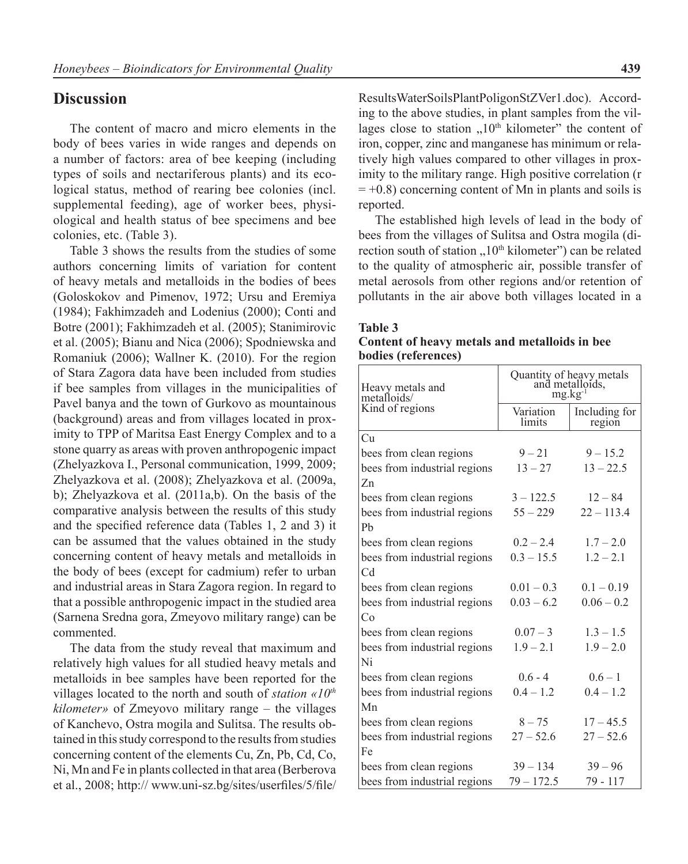## **Discussion**

The content of macro and micro elements in the body of bees varies in wide ranges and depends on a number of factors: area of bee keeping (including types of soils and nectariferous plants) and its ecological status, method of rearing bee colonies (incl. supplemental feeding), age of worker bees, physiological and health status of bee specimens and bee colonies, etc. (Table 3).

Table 3 shows the results from the studies of some authors concerning limits of variation for content of heavy metals and metalloids in the bodies of bees (Goloskokov and Pimenov, 1972; Ursu and Eremiya (1984); Fakhimzadeh and Lodenius (2000); Conti and Botre (2001); Fakhimzadeh et al. (2005); Stanimirovic et al. (2005); Bianu and Nica (2006); Spodniewska and Romaniuk (2006); Wallner K. (2010). For the region of Stara Zagora data have been included from studies if bee samples from villages in the municipalities of Pavel banya and the town of Gurkovo as mountainous (background) areas and from villages located in proximity to TPP of Maritsa East Energy Complex and to a stone quarry as areas with proven anthropogenic impact (Zhelyazkova I., Personal communication, 1999, 2009; Zhelyazkova et al. (2008); Zhelyazkova et al. (2009a, b); Zhelyazkova et al. (2011a,b). On the basis of the comparative analysis between the results of this study and the specified reference data (Tables 1, 2 and 3) it can be assumed that the values obtained in the study concerning content of heavy metals and metalloids in the body of bees (except for cadmium) refer to urban and industrial areas in Stara Zagora region. In regard to that a possible anthropogenic impact in the studied area (Sarnena Sredna gora, Zmeyovo military range) can be commented.

The data from the study reveal that maximum and relatively high values for all studied heavy metals and metalloids in bee samples have been reported for the villages located to the north and south of *station «10th kilometer»* of Zmeyovo military range – the villages of Kanchevo, Ostra mogila and Sulitsa. The results obtained in this study correspond to the results from studies concerning content of the elements Cu, Zn, Pb, Cd, Co, Ni, Mn and Fe in plants collected in that area (Berberova et al., 2008; http:// www.uni-sz.bg/sites/userfiles/5/file/

ResultsWaterSoilsPlantPoligonStZVer1.doc). According to the above studies, in plant samples from the villages close to station  $.10<sup>th</sup>$  kilometer" the content of iron, copper, zinc and manganese has minimum or relatively high values compared to other villages in proximity to the military range. High positive correlation (r  $= +0.8$ ) concerning content of Mn in plants and soils is reported.

The established high levels of lead in the body of bees from the villages of Sulitsa and Ostra mogila (direction south of station  $10<sup>th</sup>$  kilometer") can be related to the quality of atmospheric air, possible transfer of metal aerosols from other regions and/or retention of pollutants in the air above both villages located in a

#### **Table 3**

### **Content of heavy metals and metalloids in bee bodies (references)**

| Heavy metals and<br>metalloids/ | Quantity of heavy metals<br>and metalloids,<br>$mg.kg^{-1}$ |                         |  |  |
|---------------------------------|-------------------------------------------------------------|-------------------------|--|--|
| Kind of regions                 | Variation<br>limits                                         | Including for<br>region |  |  |
| Cu                              |                                                             |                         |  |  |
| bees from clean regions         | $9 - 21$                                                    | $9 - 15.2$              |  |  |
| bees from industrial regions    | $13 - 27$                                                   | $13 - 22.5$             |  |  |
| Zn                              |                                                             |                         |  |  |
| bees from clean regions         | $3 - 122.5$                                                 | $12 - 84$               |  |  |
| bees from industrial regions    | $55 - 229$                                                  | $22 - 113.4$            |  |  |
| Ph                              |                                                             |                         |  |  |
| bees from clean regions         | $0.2 - 2.4$                                                 | $1.7 - 2.0$             |  |  |
| bees from industrial regions    | $0.3 - 15.5$                                                | $1.2 - 2.1$             |  |  |
| C <sub>d</sub>                  |                                                             |                         |  |  |
| bees from clean regions         | $0.01 - 0.3$                                                | $0.1 - 0.19$            |  |  |
| bees from industrial regions    | $0.03 - 6.2$                                                | $0.06 - 0.2$            |  |  |
| Co                              |                                                             |                         |  |  |
| bees from clean regions         | $0.07 - 3$                                                  | $1.3 - 1.5$             |  |  |
| bees from industrial regions    | $1.9 - 2.1$                                                 | $1.9 - 2.0$             |  |  |
| Ni                              |                                                             |                         |  |  |
| bees from clean regions         | $0.6 - 4$                                                   | $0.6 - 1$               |  |  |
| bees from industrial regions    | $0.4 - 1.2$                                                 | $0.4 - 1.2$             |  |  |
| Mn                              |                                                             |                         |  |  |
| bees from clean regions         | $8 - 75$                                                    | $17 - 45.5$             |  |  |
| bees from industrial regions    | $27 - 52.6$                                                 | $27 - 52.6$             |  |  |
| Fe                              |                                                             |                         |  |  |
| bees from clean regions         | $39 - 134$                                                  | $39 - 96$               |  |  |
| bees from industrial regions    | $79 - 172.5$                                                | 79 - 117                |  |  |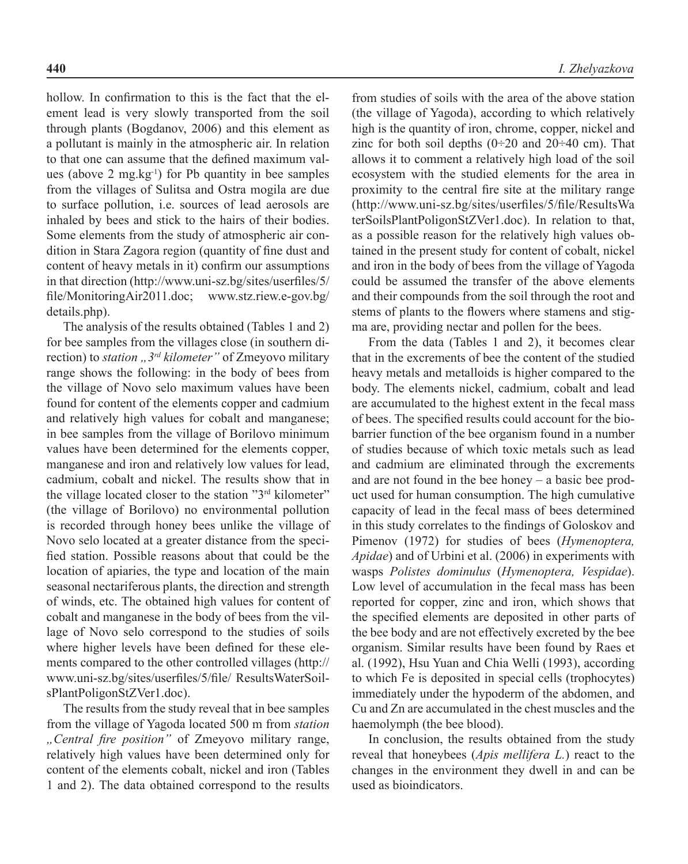hollow. In confirmation to this is the fact that the element lead is very slowly transported from the soil through plants (Bogdanov, 2006) and this element as a pollutant is mainly in the atmospheric air. In relation to that one can assume that the defined maximum values (above 2 mg.kg-1) for Pb quantity in bee samples from the villages of Sulitsa and Ostra mogila are due to surface pollution, i.e. sources of lead aerosols are inhaled by bees and stick to the hairs of their bodies. Some elements from the study of atmospheric air condition in Stara Zagora region (quantity of fine dust and content of heavy metals in it) confirm our assumptions in that direction (http://www.uni-sz.bg/sites/userfiles/5/ file/MonitoringAir2011.doc; www.stz.riew.e-gov.bg/ details.php).

The analysis of the results obtained (Tables 1 and 2) for bee samples from the villages close (in southern direction) to *station* "3<sup>rd</sup> kilometer" of Zmeyovo military range shows the following: in the body of bees from the village of Novo selo maximum values have been found for content of the elements copper and cadmium and relatively high values for cobalt and manganese; in bee samples from the village of Borilovo minimum values have been determined for the elements copper, manganese and iron and relatively low values for lead, cadmium, cobalt and nickel. The results show that in the village located closer to the station "3rd kilometer" (the village of Borilovo) no environmental pollution is recorded through honey bees unlike the village of Novo selo located at a greater distance from the specified station. Possible reasons about that could be the location of apiaries, the type and location of the main seasonal nectariferous plants, the direction and strength of winds, etc. The obtained high values for content of cobalt and manganese in the body of bees from the village of Novo selo correspond to the studies of soils where higher levels have been defined for these elements compared to the other controlled villages (http:// www.uni-sz.bg/sites/userfiles/5/file/ ResultsWaterSoilsPlantPoligonStZVer1.doc).

The results from the study reveal that in bee samples from the village of Yagoda located 500 m from *station "Central fire position"* of Zmeyovo military range, relatively high values have been determined only for content of the elements cobalt, nickel and iron (Tables 1 and 2). The data obtained correspond to the results

from studies of soils with the area of the above station (the village of Yagoda), according to which relatively high is the quantity of iron, chrome, copper, nickel and zinc for both soil depths  $(0\div 20$  and  $20\div 40$  cm). That allows it to comment a relatively high load of the soil ecosystem with the studied elements for the area in proximity to the central fire site at the military range (http://www.uni-sz.bg/sites/userfiles/5/file/ResultsWa terSoilsPlantPoligonStZVer1.doc). In relation to that, as a possible reason for the relatively high values obtained in the present study for content of cobalt, nickel and iron in the body of bees from the village of Yagoda could be assumed the transfer of the above elements and their compounds from the soil through the root and stems of plants to the flowers where stamens and stigma are, providing nectar and pollen for the bees.

From the data (Tables 1 and 2), it becomes clear that in the excrements of bee the content of the studied heavy metals and metalloids is higher compared to the body. The elements nickel, cadmium, cobalt and lead are accumulated to the highest extent in the fecal mass of bees. The specified results could account for the biobarrier function of the bee organism found in a number of studies because of which toxic metals such as lead and cadmium are eliminated through the excrements and are not found in the bee honey – a basic bee product used for human consumption. The high cumulative capacity of lead in the fecal mass of bees determined in this study correlates to the findings of Goloskov and Pimenov (1972) for studies of bees (*Hymenoptera, Apidae*) and of Urbini et al. (2006) in experiments with wasps *Polistes dominulus* (*Hymenoptera, Vespidae*). Low level of accumulation in the fecal mass has been reported for copper, zinc and iron, which shows that the specified elements are deposited in other parts of the bee body and are not effectively excreted by the bee organism. Similar results have been found by Raes et al. (1992), Hsu Yuan and Chia Welli (1993), according to which Fe is deposited in special cells (trophocytes) immediately under the hypoderm of the abdomen, and Cu and Zn are accumulated in the chest muscles and the haemolymph (the bee blood).

In conclusion, the results obtained from the study reveal that honeybees (*Apis mellifera L.*) react to the changes in the environment they dwell in and can be used as bioindicators.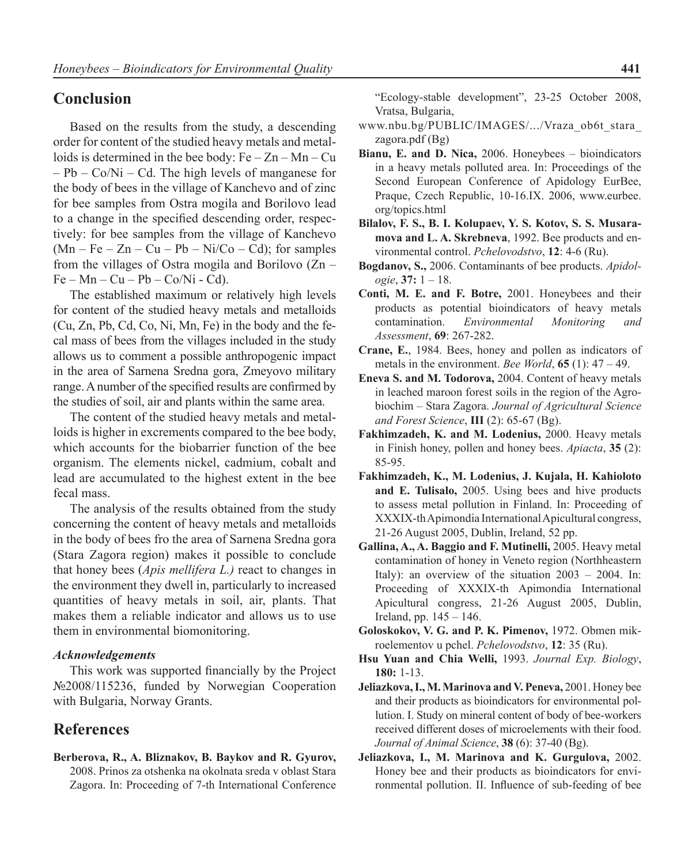## **Conclusion**

Based on the results from the study, a descending order for content of the studied heavy metals and metalloids is determined in the bee body:  $Fe - Zn - Mn - Cu$ – Pb – Co/Ni – Cd. The high levels of manganese for the body of bees in the village of Kanchevo and of zinc for bee samples from Ostra mogila and Borilovo lead to a change in the specified descending order, respectively: for bee samples from the village of Kanchevo  $(Mn - Fe - Zn - Cu - Pb - Ni/Co - Cd)$ ; for samples from the villages of Ostra mogila and Borilovo (Zn –  $Fe - Mn - Cu - Pb - Co/Ni - Cd$ .

The established maximum or relatively high levels for content of the studied heavy metals and metalloids (Cu, Zn, Pb, Cd, Co, Ni, Mn, Fe) in the body and the fecal mass of bees from the villages included in the study allows us to comment a possible anthropogenic impact in the area of Sarnena Sredna gora, Zmeyovo military range. A number of the specified results are confirmed by the studies of soil, air and plants within the same area.

The content of the studied heavy metals and metalloids is higher in excrements compared to the bee body, which accounts for the biobarrier function of the bee organism. The elements nickel, cadmium, cobalt and lead are accumulated to the highest extent in the bee fecal mass.

The analysis of the results obtained from the study concerning the content of heavy metals and metalloids in the body of bees fro the area of Sarnena Sredna gora (Stara Zagora region) makes it possible to conclude that honey bees (*Apis mellifera L.)* react to changes in the environment they dwell in, particularly to increased quantities of heavy metals in soil, air, plants. That makes them a reliable indicator and allows us to use them in environmental biomonitoring.

### *Acknowledgements*

This work was supported financially by the Project №2008/115236, funded by Norwegian Cooperation with Bulgaria, Norway Grants.

# **References**

**Berberova, R., A. Bliznakov, B. Baykov and R. Gyurov,** 2008. Prinos za otshenka na okolnata sreda v oblast Stara Zagora. In: Proceeding of 7-th International Conference

"Ecology-stable development", 23-25 October 2008, Vratsa, Bulgaria,

- www.nbu.bg/PUBLIC/IMAGES/.../Vraza\_ob6t\_stara\_ zagora.pdf (Bg)
- **Bianu, E. and D. Nica,** 2006. Honeybees bioindicators in a heavy metals polluted area. In: Proceedings of the Second European Conference of Apidology EurBee, Praque, Czech Republic, 10-16.IX. 2006, www.eurbee. org/topics.html
- **Bilalov, F. S., B. I. Kolupaev, Y. S. Kotov, S. S. Musaramova and L. A. Skrebneva**, 1992. Bee products and environmental control. *Pchelovodstvo*, **12**: 4-6 (Ru).
- **Bogdanov, S.,** 2006. Contaminants of bee products. *Apidologie*, **37:** 1 – 18.
- **Conti, M. E. and F. Botre,** 2001. Honeybees and their products as potential bioindicators of heavy metals contamination. *Environmental Monitoring and Assessment*, **69**: 267-282.
- **Crane, E.**, 1984. Bees, honey and pollen as indicators of metals in the environment. *Bee World*, **65** (1): 47 – 49.
- **Eneva S. and M. Todorova,** 2004. Content of heavy metals in leached maroon forest soils in the region of the Agrobiochim – Stara Zagora. *Journal of Agricultural Science and Forest Science*, **III** (2): 65-67 (Bg).
- **Fakhimzadeh, K. and M. Lodenius,** 2000. Heavy metals in Finish honey, pollen and honey bees. *Apiacta*, **35** (2): 85-95.
- **Fakhimzadeh, K., M. Lodenius, J. Kujala, H. Kahioloto and E. Tulisalo,** 2005. Using bees and hive products to assess metal pollution in Finland. In: Proceeding of XXXIX-th Apimondia International Apicultural congress, 21-26 August 2005, Dublin, Ireland, 52 pp.
- **Gallina, A., A. Baggio and F. Mutinelli,** 2005. Heavy metal contamination of honey in Veneto region (Northheastern Italy): an overview of the situation 2003 – 2004. In: Proceeding of XXXIX-th Apimondia International Apicultural congress, 21-26 August 2005, Dublin, Ireland, pp. 145 – 146.
- **Goloskokov, V. G. and P. K. Pimenov,** 1972. Obmen mikroelementov u pchel. *Pchelovodstvo*, **12**: 35 (Ru).
- **Hsu Yuan and Chia Welli,** 1993. *Journal Exp. Biology*, **180:** 1-13.
- **Jeliazkova, I., M. Marinova and V. Peneva,** 2001. Honey bee and their products as bioindicators for environmental pollution. I. Study on mineral content of body of bee-workers received different doses of microelements with their food. *Journal of Animal Science*, **38** (6): 37-40 (Bg).
- **Jeliazkova, I., M. Marinova and K. Gurgulova,** 2002. Honey bee and their products as bioindicators for environmental pollution. II. Influence of sub-feeding of bee